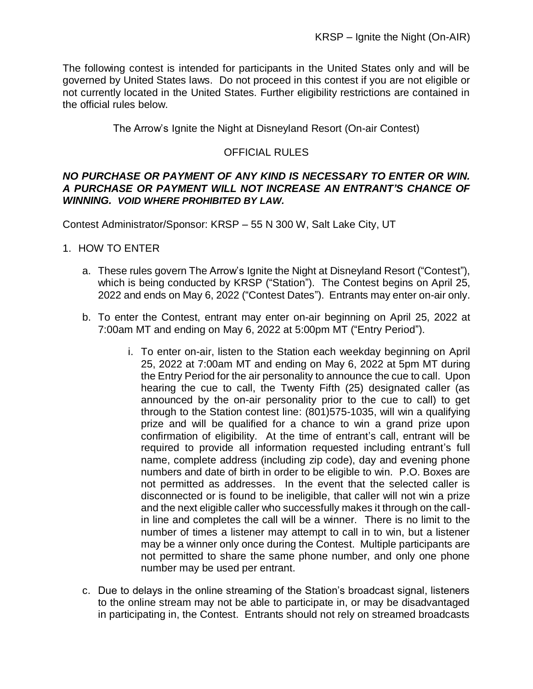The following contest is intended for participants in the United States only and will be governed by United States laws. Do not proceed in this contest if you are not eligible or not currently located in the United States. Further eligibility restrictions are contained in the official rules below.

The Arrow's Ignite the Night at Disneyland Resort (On-air Contest)

# OFFICIAL RULES

#### *NO PURCHASE OR PAYMENT OF ANY KIND IS NECESSARY TO ENTER OR WIN. A PURCHASE OR PAYMENT WILL NOT INCREASE AN ENTRANT'S CHANCE OF WINNING. VOID WHERE PROHIBITED BY LAW.*

Contest Administrator/Sponsor: KRSP – 55 N 300 W, Salt Lake City, UT

### 1. HOW TO ENTER

- a. These rules govern The Arrow's Ignite the Night at Disneyland Resort ("Contest"), which is being conducted by KRSP ("Station"). The Contest begins on April 25, 2022 and ends on May 6, 2022 ("Contest Dates"). Entrants may enter on-air only.
- b. To enter the Contest, entrant may enter on-air beginning on April 25, 2022 at 7:00am MT and ending on May 6, 2022 at 5:00pm MT ("Entry Period").
	- i. To enter on-air, listen to the Station each weekday beginning on April 25, 2022 at 7:00am MT and ending on May 6, 2022 at 5pm MT during the Entry Period for the air personality to announce the cue to call. Upon hearing the cue to call, the Twenty Fifth (25) designated caller (as announced by the on-air personality prior to the cue to call) to get through to the Station contest line: (801)575-1035, will win a qualifying prize and will be qualified for a chance to win a grand prize upon confirmation of eligibility. At the time of entrant's call, entrant will be required to provide all information requested including entrant's full name, complete address (including zip code), day and evening phone numbers and date of birth in order to be eligible to win. P.O. Boxes are not permitted as addresses. In the event that the selected caller is disconnected or is found to be ineligible, that caller will not win a prize and the next eligible caller who successfully makes it through on the callin line and completes the call will be a winner. There is no limit to the number of times a listener may attempt to call in to win, but a listener may be a winner only once during the Contest. Multiple participants are not permitted to share the same phone number, and only one phone number may be used per entrant.
- c. Due to delays in the online streaming of the Station's broadcast signal, listeners to the online stream may not be able to participate in, or may be disadvantaged in participating in, the Contest. Entrants should not rely on streamed broadcasts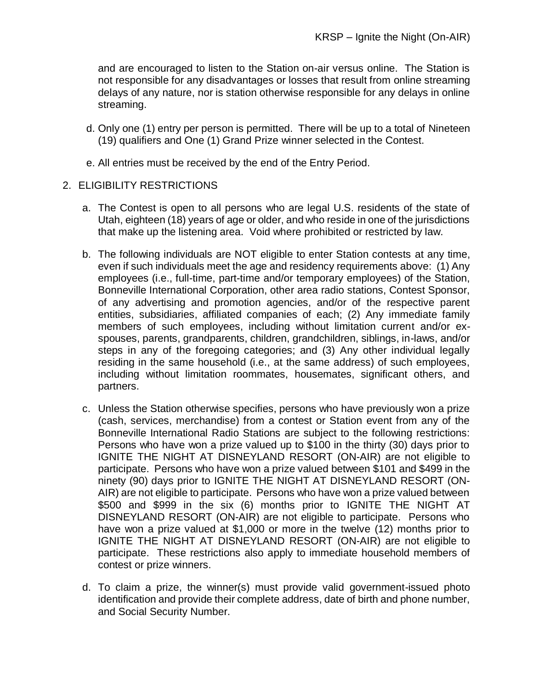and are encouraged to listen to the Station on-air versus online. The Station is not responsible for any disadvantages or losses that result from online streaming delays of any nature, nor is station otherwise responsible for any delays in online streaming.

- d. Only one (1) entry per person is permitted. There will be up to a total of Nineteen (19) qualifiers and One (1) Grand Prize winner selected in the Contest.
- e. All entries must be received by the end of the Entry Period.

#### 2. ELIGIBILITY RESTRICTIONS

- a. The Contest is open to all persons who are legal U.S. residents of the state of Utah, eighteen (18) years of age or older, and who reside in one of the jurisdictions that make up the listening area. Void where prohibited or restricted by law.
- b. The following individuals are NOT eligible to enter Station contests at any time, even if such individuals meet the age and residency requirements above: (1) Any employees (i.e., full-time, part-time and/or temporary employees) of the Station, Bonneville International Corporation, other area radio stations, Contest Sponsor, of any advertising and promotion agencies, and/or of the respective parent entities, subsidiaries, affiliated companies of each; (2) Any immediate family members of such employees, including without limitation current and/or exspouses, parents, grandparents, children, grandchildren, siblings, in-laws, and/or steps in any of the foregoing categories; and (3) Any other individual legally residing in the same household (i.e., at the same address) of such employees, including without limitation roommates, housemates, significant others, and partners.
- c. Unless the Station otherwise specifies, persons who have previously won a prize (cash, services, merchandise) from a contest or Station event from any of the Bonneville International Radio Stations are subject to the following restrictions: Persons who have won a prize valued up to \$100 in the thirty (30) days prior to IGNITE THE NIGHT AT DISNEYLAND RESORT (ON-AIR) are not eligible to participate. Persons who have won a prize valued between \$101 and \$499 in the ninety (90) days prior to IGNITE THE NIGHT AT DISNEYLAND RESORT (ON-AIR) are not eligible to participate. Persons who have won a prize valued between \$500 and \$999 in the six (6) months prior to IGNITE THE NIGHT AT DISNEYLAND RESORT (ON-AIR) are not eligible to participate. Persons who have won a prize valued at \$1,000 or more in the twelve (12) months prior to IGNITE THE NIGHT AT DISNEYLAND RESORT (ON-AIR) are not eligible to participate. These restrictions also apply to immediate household members of contest or prize winners.
- d. To claim a prize, the winner(s) must provide valid government-issued photo identification and provide their complete address, date of birth and phone number, and Social Security Number.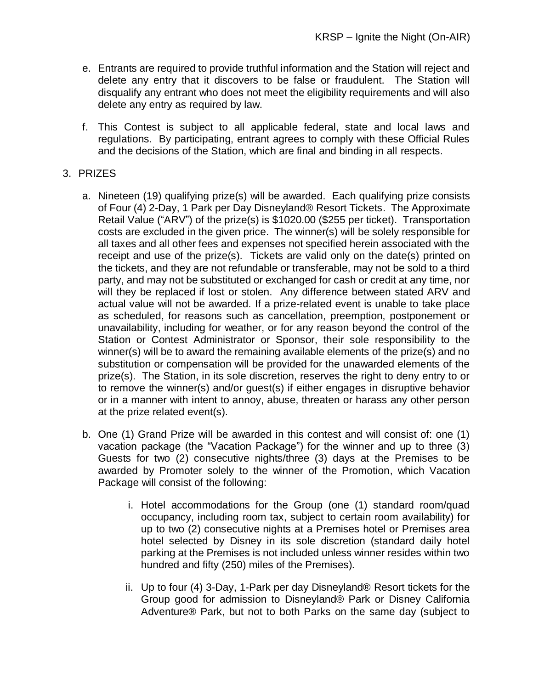- e. Entrants are required to provide truthful information and the Station will reject and delete any entry that it discovers to be false or fraudulent. The Station will disqualify any entrant who does not meet the eligibility requirements and will also delete any entry as required by law.
- f. This Contest is subject to all applicable federal, state and local laws and regulations. By participating, entrant agrees to comply with these Official Rules and the decisions of the Station, which are final and binding in all respects.

### 3. PRIZES

- a. Nineteen (19) qualifying prize(s) will be awarded. Each qualifying prize consists of Four (4) 2-Day, 1 Park per Day Disneyland® Resort Tickets. The Approximate Retail Value ("ARV") of the prize(s) is \$1020.00 (\$255 per ticket). Transportation costs are excluded in the given price. The winner(s) will be solely responsible for all taxes and all other fees and expenses not specified herein associated with the receipt and use of the prize(s). Tickets are valid only on the date(s) printed on the tickets, and they are not refundable or transferable, may not be sold to a third party, and may not be substituted or exchanged for cash or credit at any time, nor will they be replaced if lost or stolen. Any difference between stated ARV and actual value will not be awarded. If a prize-related event is unable to take place as scheduled, for reasons such as cancellation, preemption, postponement or unavailability, including for weather, or for any reason beyond the control of the Station or Contest Administrator or Sponsor, their sole responsibility to the winner(s) will be to award the remaining available elements of the prize(s) and no substitution or compensation will be provided for the unawarded elements of the prize(s). The Station, in its sole discretion, reserves the right to deny entry to or to remove the winner(s) and/or guest(s) if either engages in disruptive behavior or in a manner with intent to annoy, abuse, threaten or harass any other person at the prize related event(s).
- b. One (1) Grand Prize will be awarded in this contest and will consist of: one (1) vacation package (the "Vacation Package") for the winner and up to three (3) Guests for two (2) consecutive nights/three (3) days at the Premises to be awarded by Promoter solely to the winner of the Promotion, which Vacation Package will consist of the following:
	- i. Hotel accommodations for the Group (one (1) standard room/quad occupancy, including room tax, subject to certain room availability) for up to two (2) consecutive nights at a Premises hotel or Premises area hotel selected by Disney in its sole discretion (standard daily hotel parking at the Premises is not included unless winner resides within two hundred and fifty (250) miles of the Premises).
	- ii. Up to four (4) 3-Day, 1-Park per day Disneyland® Resort tickets for the Group good for admission to Disneyland® Park or Disney California Adventure® Park, but not to both Parks on the same day (subject to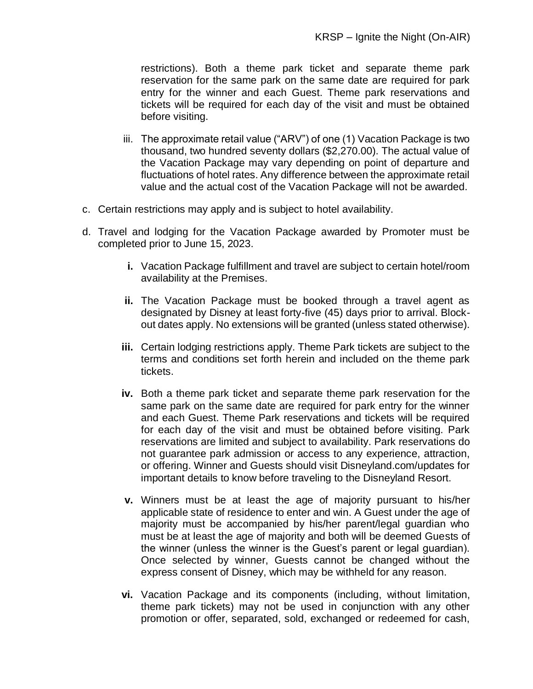restrictions). Both a theme park ticket and separate theme park reservation for the same park on the same date are required for park entry for the winner and each Guest. Theme park reservations and tickets will be required for each day of the visit and must be obtained before visiting.

- iii. The approximate retail value ("ARV") of one (1) Vacation Package is two thousand, two hundred seventy dollars (\$2,270.00). The actual value of the Vacation Package may vary depending on point of departure and fluctuations of hotel rates. Any difference between the approximate retail value and the actual cost of the Vacation Package will not be awarded.
- c. Certain restrictions may apply and is subject to hotel availability.
- d. Travel and lodging for the Vacation Package awarded by Promoter must be completed prior to June 15, 2023.
	- **i.** Vacation Package fulfillment and travel are subject to certain hotel/room availability at the Premises.
	- **ii.** The Vacation Package must be booked through a travel agent as designated by Disney at least forty-five (45) days prior to arrival. Blockout dates apply. No extensions will be granted (unless stated otherwise).
	- **iii.** Certain lodging restrictions apply. Theme Park tickets are subject to the terms and conditions set forth herein and included on the theme park tickets.
	- **iv.** Both a theme park ticket and separate theme park reservation for the same park on the same date are required for park entry for the winner and each Guest. Theme Park reservations and tickets will be required for each day of the visit and must be obtained before visiting. Park reservations are limited and subject to availability. Park reservations do not guarantee park admission or access to any experience, attraction, or offering. Winner and Guests should visit Disneyland.com/updates for important details to know before traveling to the Disneyland Resort.
	- **v.** Winners must be at least the age of majority pursuant to his/her applicable state of residence to enter and win. A Guest under the age of majority must be accompanied by his/her parent/legal guardian who must be at least the age of majority and both will be deemed Guests of the winner (unless the winner is the Guest's parent or legal guardian). Once selected by winner, Guests cannot be changed without the express consent of Disney, which may be withheld for any reason.
	- **vi.** Vacation Package and its components (including, without limitation, theme park tickets) may not be used in conjunction with any other promotion or offer, separated, sold, exchanged or redeemed for cash,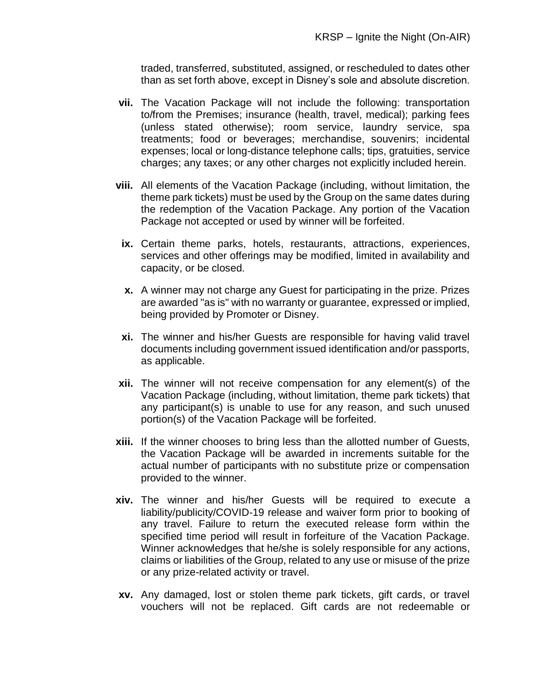traded, transferred, substituted, assigned, or rescheduled to dates other than as set forth above, except in Disney's sole and absolute discretion.

- **vii.** The Vacation Package will not include the following: transportation to/from the Premises; insurance (health, travel, medical); parking fees (unless stated otherwise); room service, laundry service, spa treatments; food or beverages; merchandise, souvenirs; incidental expenses; local or long-distance telephone calls; tips, gratuities, service charges; any taxes; or any other charges not explicitly included herein.
- **viii.** All elements of the Vacation Package (including, without limitation, the theme park tickets) must be used by the Group on the same dates during the redemption of the Vacation Package. Any portion of the Vacation Package not accepted or used by winner will be forfeited.
- **ix.** Certain theme parks, hotels, restaurants, attractions, experiences, services and other offerings may be modified, limited in availability and capacity, or be closed.
- **x.** A winner may not charge any Guest for participating in the prize. Prizes are awarded "as is" with no warranty or guarantee, expressed or implied, being provided by Promoter or Disney.
- **xi.** The winner and his/her Guests are responsible for having valid travel documents including government issued identification and/or passports, as applicable.
- **xii.** The winner will not receive compensation for any element(s) of the Vacation Package (including, without limitation, theme park tickets) that any participant(s) is unable to use for any reason, and such unused portion(s) of the Vacation Package will be forfeited.
- **xiii.** If the winner chooses to bring less than the allotted number of Guests, the Vacation Package will be awarded in increments suitable for the actual number of participants with no substitute prize or compensation provided to the winner.
- **xiv.** The winner and his/her Guests will be required to execute a liability/publicity/COVID-19 release and waiver form prior to booking of any travel. Failure to return the executed release form within the specified time period will result in forfeiture of the Vacation Package. Winner acknowledges that he/she is solely responsible for any actions, claims or liabilities of the Group, related to any use or misuse of the prize or any prize-related activity or travel.
- **xv.** Any damaged, lost or stolen theme park tickets, gift cards, or travel vouchers will not be replaced. Gift cards are not redeemable or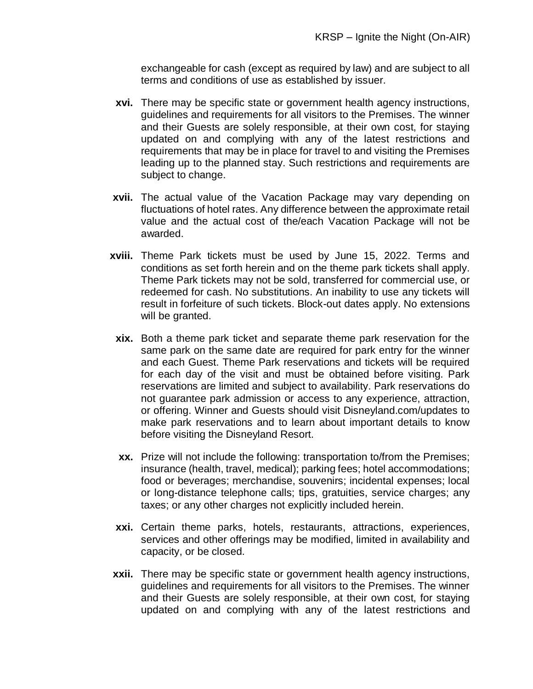exchangeable for cash (except as required by law) and are subject to all terms and conditions of use as established by issuer.

- **xvi.** There may be specific state or government health agency instructions, guidelines and requirements for all visitors to the Premises. The winner and their Guests are solely responsible, at their own cost, for staying updated on and complying with any of the latest restrictions and requirements that may be in place for travel to and visiting the Premises leading up to the planned stay. Such restrictions and requirements are subject to change.
- **xvii.** The actual value of the Vacation Package may vary depending on fluctuations of hotel rates. Any difference between the approximate retail value and the actual cost of the/each Vacation Package will not be awarded.
- **xviii.** Theme Park tickets must be used by June 15, 2022. Terms and conditions as set forth herein and on the theme park tickets shall apply. Theme Park tickets may not be sold, transferred for commercial use, or redeemed for cash. No substitutions. An inability to use any tickets will result in forfeiture of such tickets. Block-out dates apply. No extensions will be granted.
- **xix.** Both a theme park ticket and separate theme park reservation for the same park on the same date are required for park entry for the winner and each Guest. Theme Park reservations and tickets will be required for each day of the visit and must be obtained before visiting. Park reservations are limited and subject to availability. Park reservations do not guarantee park admission or access to any experience, attraction, or offering. Winner and Guests should visit Disneyland.com/updates to make park reservations and to learn about important details to know before visiting the Disneyland Resort.
- **xx.** Prize will not include the following: transportation to/from the Premises; insurance (health, travel, medical); parking fees; hotel accommodations; food or beverages; merchandise, souvenirs; incidental expenses; local or long-distance telephone calls; tips, gratuities, service charges; any taxes; or any other charges not explicitly included herein.
- **xxi.** Certain theme parks, hotels, restaurants, attractions, experiences, services and other offerings may be modified, limited in availability and capacity, or be closed.
- **xxii.** There may be specific state or government health agency instructions, guidelines and requirements for all visitors to the Premises. The winner and their Guests are solely responsible, at their own cost, for staying updated on and complying with any of the latest restrictions and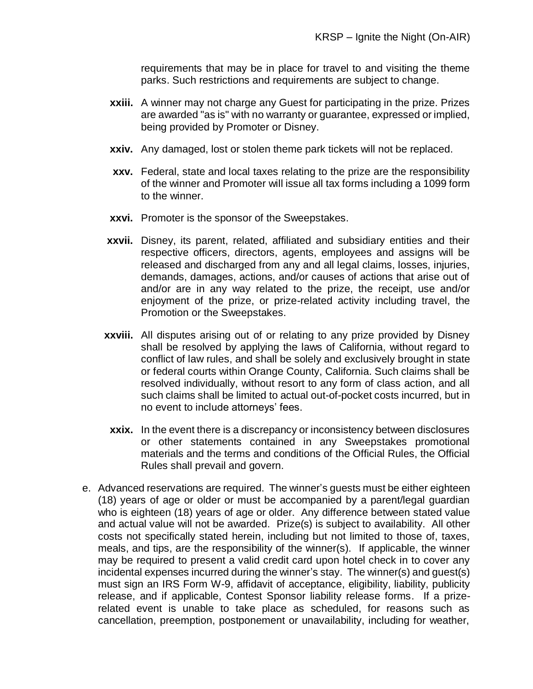requirements that may be in place for travel to and visiting the theme parks. Such restrictions and requirements are subject to change.

- **xxiii.** A winner may not charge any Guest for participating in the prize. Prizes are awarded "as is" with no warranty or guarantee, expressed or implied, being provided by Promoter or Disney.
- **xxiv.** Any damaged, lost or stolen theme park tickets will not be replaced.
- **xxv.** Federal, state and local taxes relating to the prize are the responsibility of the winner and Promoter will issue all tax forms including a 1099 form to the winner.
- **xxvi.** Promoter is the sponsor of the Sweepstakes.
- **xxvii.** Disney, its parent, related, affiliated and subsidiary entities and their respective officers, directors, agents, employees and assigns will be released and discharged from any and all legal claims, losses, injuries, demands, damages, actions, and/or causes of actions that arise out of and/or are in any way related to the prize, the receipt, use and/or enjoyment of the prize, or prize-related activity including travel, the Promotion or the Sweepstakes.
- **xxviii.** All disputes arising out of or relating to any prize provided by Disney shall be resolved by applying the laws of California, without regard to conflict of law rules, and shall be solely and exclusively brought in state or federal courts within Orange County, California. Such claims shall be resolved individually, without resort to any form of class action, and all such claims shall be limited to actual out-of-pocket costs incurred, but in no event to include attorneys' fees.
	- **xxix.** In the event there is a discrepancy or inconsistency between disclosures or other statements contained in any Sweepstakes promotional materials and the terms and conditions of the Official Rules, the Official Rules shall prevail and govern.
- e. Advanced reservations are required. The winner's guests must be either eighteen (18) years of age or older or must be accompanied by a parent/legal guardian who is eighteen (18) years of age or older. Any difference between stated value and actual value will not be awarded. Prize(s) is subject to availability. All other costs not specifically stated herein, including but not limited to those of, taxes, meals, and tips, are the responsibility of the winner(s). If applicable, the winner may be required to present a valid credit card upon hotel check in to cover any incidental expenses incurred during the winner's stay. The winner(s) and guest(s) must sign an IRS Form W-9, affidavit of acceptance, eligibility, liability, publicity release, and if applicable, Contest Sponsor liability release forms. If a prizerelated event is unable to take place as scheduled, for reasons such as cancellation, preemption, postponement or unavailability, including for weather,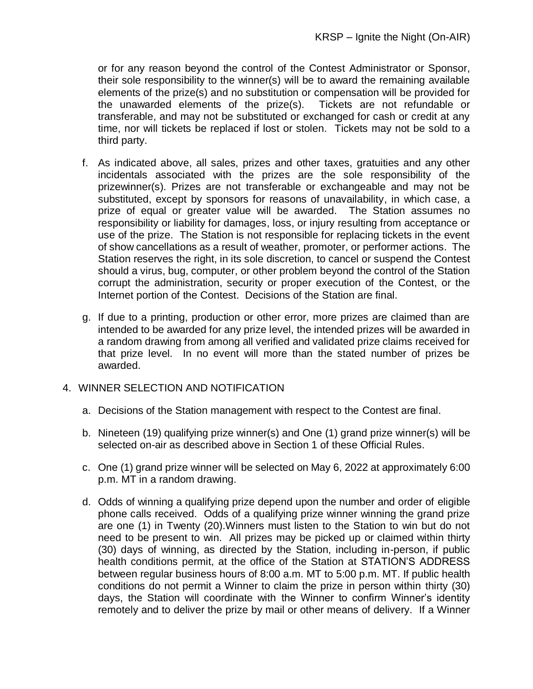or for any reason beyond the control of the Contest Administrator or Sponsor, their sole responsibility to the winner(s) will be to award the remaining available elements of the prize(s) and no substitution or compensation will be provided for<br>the unawarded elements of the prize(s). Tickets are not refundable or the unawarded elements of the prize $(s)$ . transferable, and may not be substituted or exchanged for cash or credit at any time, nor will tickets be replaced if lost or stolen. Tickets may not be sold to a third party.

- f. As indicated above, all sales, prizes and other taxes, gratuities and any other incidentals associated with the prizes are the sole responsibility of the prizewinner(s). Prizes are not transferable or exchangeable and may not be substituted, except by sponsors for reasons of unavailability, in which case, a prize of equal or greater value will be awarded. The Station assumes no responsibility or liability for damages, loss, or injury resulting from acceptance or use of the prize. The Station is not responsible for replacing tickets in the event of show cancellations as a result of weather, promoter, or performer actions. The Station reserves the right, in its sole discretion, to cancel or suspend the Contest should a virus, bug, computer, or other problem beyond the control of the Station corrupt the administration, security or proper execution of the Contest, or the Internet portion of the Contest. Decisions of the Station are final.
- g. If due to a printing, production or other error, more prizes are claimed than are intended to be awarded for any prize level, the intended prizes will be awarded in a random drawing from among all verified and validated prize claims received for that prize level. In no event will more than the stated number of prizes be awarded.

# 4. WINNER SELECTION AND NOTIFICATION

- a. Decisions of the Station management with respect to the Contest are final.
- b. Nineteen (19) qualifying prize winner(s) and One (1) grand prize winner(s) will be selected on-air as described above in Section 1 of these Official Rules.
- c. One (1) grand prize winner will be selected on May 6, 2022 at approximately 6:00 p.m. MT in a random drawing.
- d. Odds of winning a qualifying prize depend upon the number and order of eligible phone calls received. Odds of a qualifying prize winner winning the grand prize are one (1) in Twenty (20).Winners must listen to the Station to win but do not need to be present to win. All prizes may be picked up or claimed within thirty (30) days of winning, as directed by the Station, including in-person, if public health conditions permit, at the office of the Station at STATION'S ADDRESS between regular business hours of 8:00 a.m. MT to 5:00 p.m. MT. If public health conditions do not permit a Winner to claim the prize in person within thirty (30) days, the Station will coordinate with the Winner to confirm Winner's identity remotely and to deliver the prize by mail or other means of delivery. If a Winner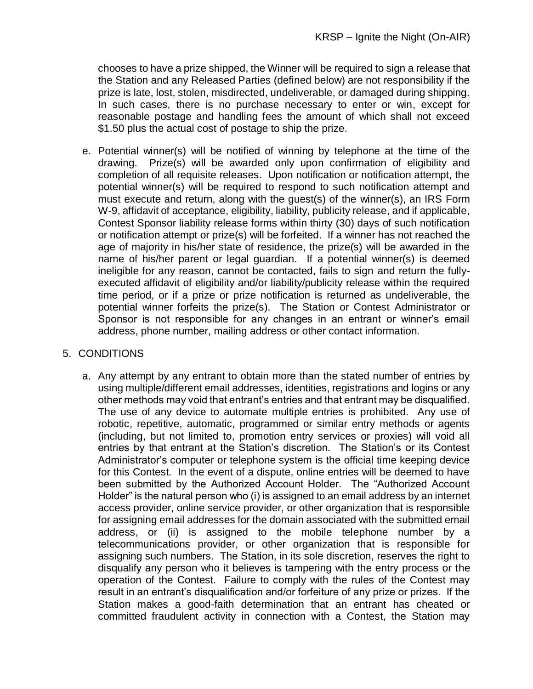chooses to have a prize shipped, the Winner will be required to sign a release that the Station and any Released Parties (defined below) are not responsibility if the prize is late, lost, stolen, misdirected, undeliverable, or damaged during shipping. In such cases, there is no purchase necessary to enter or win, except for reasonable postage and handling fees the amount of which shall not exceed \$1.50 plus the actual cost of postage to ship the prize.

e. Potential winner(s) will be notified of winning by telephone at the time of the drawing. Prize(s) will be awarded only upon confirmation of eligibility and completion of all requisite releases. Upon notification or notification attempt, the potential winner(s) will be required to respond to such notification attempt and must execute and return, along with the guest(s) of the winner(s), an IRS Form W-9, affidavit of acceptance, eligibility, liability, publicity release, and if applicable, Contest Sponsor liability release forms within thirty (30) days of such notification or notification attempt or prize(s) will be forfeited. If a winner has not reached the age of majority in his/her state of residence, the prize(s) will be awarded in the name of his/her parent or legal guardian. If a potential winner(s) is deemed ineligible for any reason, cannot be contacted, fails to sign and return the fullyexecuted affidavit of eligibility and/or liability/publicity release within the required time period, or if a prize or prize notification is returned as undeliverable, the potential winner forfeits the prize(s). The Station or Contest Administrator or Sponsor is not responsible for any changes in an entrant or winner's email address, phone number, mailing address or other contact information.

# 5. CONDITIONS

a. Any attempt by any entrant to obtain more than the stated number of entries by using multiple/different email addresses, identities, registrations and logins or any other methods may void that entrant's entries and that entrant may be disqualified. The use of any device to automate multiple entries is prohibited. Any use of robotic, repetitive, automatic, programmed or similar entry methods or agents (including, but not limited to, promotion entry services or proxies) will void all entries by that entrant at the Station's discretion. The Station's or its Contest Administrator's computer or telephone system is the official time keeping device for this Contest. In the event of a dispute, online entries will be deemed to have been submitted by the Authorized Account Holder. The "Authorized Account Holder" is the natural person who (i) is assigned to an email address by an internet access provider, online service provider, or other organization that is responsible for assigning email addresses for the domain associated with the submitted email address, or (ii) is assigned to the mobile telephone number by a telecommunications provider, or other organization that is responsible for assigning such numbers. The Station, in its sole discretion, reserves the right to disqualify any person who it believes is tampering with the entry process or the operation of the Contest. Failure to comply with the rules of the Contest may result in an entrant's disqualification and/or forfeiture of any prize or prizes. If the Station makes a good-faith determination that an entrant has cheated or committed fraudulent activity in connection with a Contest, the Station may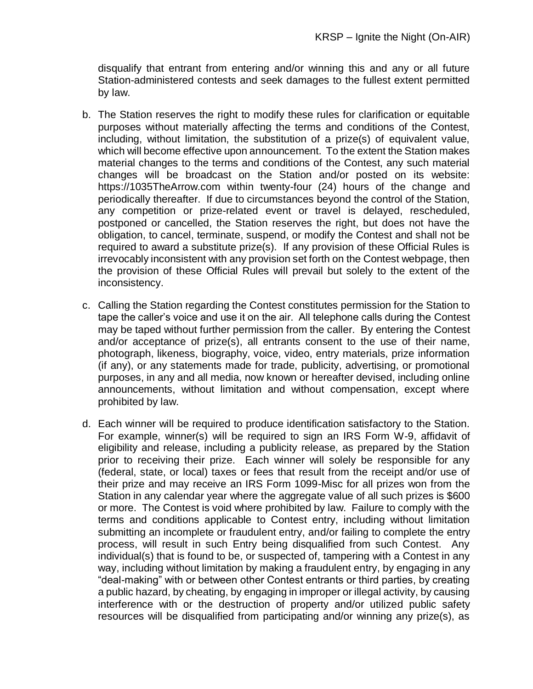disqualify that entrant from entering and/or winning this and any or all future Station-administered contests and seek damages to the fullest extent permitted by law.

- b. The Station reserves the right to modify these rules for clarification or equitable purposes without materially affecting the terms and conditions of the Contest, including, without limitation, the substitution of a prize(s) of equivalent value, which will become effective upon announcement. To the extent the Station makes material changes to the terms and conditions of the Contest, any such material changes will be broadcast on the Station and/or posted on its website: https://1035TheArrow.com within twenty-four (24) hours of the change and periodically thereafter. If due to circumstances beyond the control of the Station, any competition or prize-related event or travel is delayed, rescheduled, postponed or cancelled, the Station reserves the right, but does not have the obligation, to cancel, terminate, suspend, or modify the Contest and shall not be required to award a substitute prize(s). If any provision of these Official Rules is irrevocably inconsistent with any provision set forth on the Contest webpage, then the provision of these Official Rules will prevail but solely to the extent of the inconsistency.
- c. Calling the Station regarding the Contest constitutes permission for the Station to tape the caller's voice and use it on the air. All telephone calls during the Contest may be taped without further permission from the caller. By entering the Contest and/or acceptance of prize(s), all entrants consent to the use of their name, photograph, likeness, biography, voice, video, entry materials, prize information (if any), or any statements made for trade, publicity, advertising, or promotional purposes, in any and all media, now known or hereafter devised, including online announcements, without limitation and without compensation, except where prohibited by law.
- d. Each winner will be required to produce identification satisfactory to the Station. For example, winner(s) will be required to sign an IRS Form W-9, affidavit of eligibility and release, including a publicity release, as prepared by the Station prior to receiving their prize. Each winner will solely be responsible for any (federal, state, or local) taxes or fees that result from the receipt and/or use of their prize and may receive an IRS Form 1099-Misc for all prizes won from the Station in any calendar year where the aggregate value of all such prizes is \$600 or more. The Contest is void where prohibited by law. Failure to comply with the terms and conditions applicable to Contest entry, including without limitation submitting an incomplete or fraudulent entry, and/or failing to complete the entry process, will result in such Entry being disqualified from such Contest. Any individual(s) that is found to be, or suspected of, tampering with a Contest in any way, including without limitation by making a fraudulent entry, by engaging in any "deal-making" with or between other Contest entrants or third parties, by creating a public hazard, by cheating, by engaging in improper or illegal activity, by causing interference with or the destruction of property and/or utilized public safety resources will be disqualified from participating and/or winning any prize(s), as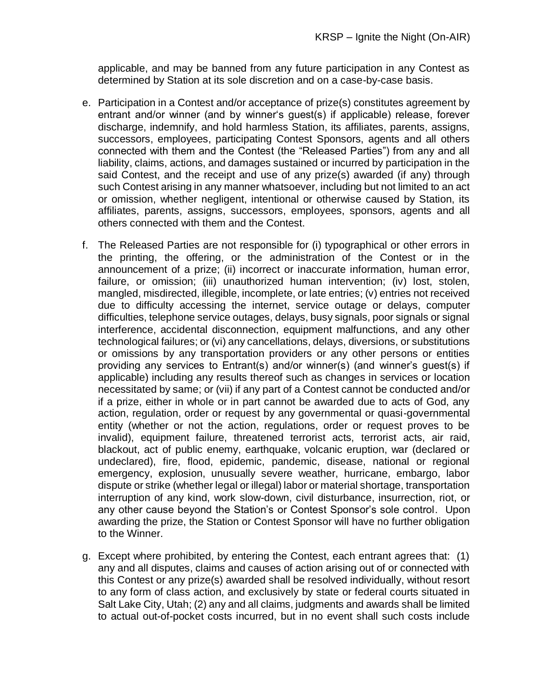applicable, and may be banned from any future participation in any Contest as determined by Station at its sole discretion and on a case-by-case basis.

- e. Participation in a Contest and/or acceptance of prize(s) constitutes agreement by entrant and/or winner (and by winner's guest(s) if applicable) release, forever discharge, indemnify, and hold harmless Station, its affiliates, parents, assigns, successors, employees, participating Contest Sponsors, agents and all others connected with them and the Contest (the "Released Parties") from any and all liability, claims, actions, and damages sustained or incurred by participation in the said Contest, and the receipt and use of any prize(s) awarded (if any) through such Contest arising in any manner whatsoever, including but not limited to an act or omission, whether negligent, intentional or otherwise caused by Station, its affiliates, parents, assigns, successors, employees, sponsors, agents and all others connected with them and the Contest.
- f. The Released Parties are not responsible for (i) typographical or other errors in the printing, the offering, or the administration of the Contest or in the announcement of a prize; (ii) incorrect or inaccurate information, human error, failure, or omission; (iii) unauthorized human intervention; (iv) lost, stolen, mangled, misdirected, illegible, incomplete, or late entries; (v) entries not received due to difficulty accessing the internet, service outage or delays, computer difficulties, telephone service outages, delays, busy signals, poor signals or signal interference, accidental disconnection, equipment malfunctions, and any other technological failures; or (vi) any cancellations, delays, diversions, or substitutions or omissions by any transportation providers or any other persons or entities providing any services to Entrant(s) and/or winner(s) (and winner's guest(s) if applicable) including any results thereof such as changes in services or location necessitated by same; or (vii) if any part of a Contest cannot be conducted and/or if a prize, either in whole or in part cannot be awarded due to acts of God, any action, regulation, order or request by any governmental or quasi-governmental entity (whether or not the action, regulations, order or request proves to be invalid), equipment failure, threatened terrorist acts, terrorist acts, air raid, blackout, act of public enemy, earthquake, volcanic eruption, war (declared or undeclared), fire, flood, epidemic, pandemic, disease, national or regional emergency, explosion, unusually severe weather, hurricane, embargo, labor dispute or strike (whether legal or illegal) labor or material shortage, transportation interruption of any kind, work slow-down, civil disturbance, insurrection, riot, or any other cause beyond the Station's or Contest Sponsor's sole control. Upon awarding the prize, the Station or Contest Sponsor will have no further obligation to the Winner.
- g. Except where prohibited, by entering the Contest, each entrant agrees that: (1) any and all disputes, claims and causes of action arising out of or connected with this Contest or any prize(s) awarded shall be resolved individually, without resort to any form of class action, and exclusively by state or federal courts situated in Salt Lake City, Utah; (2) any and all claims, judgments and awards shall be limited to actual out-of-pocket costs incurred, but in no event shall such costs include